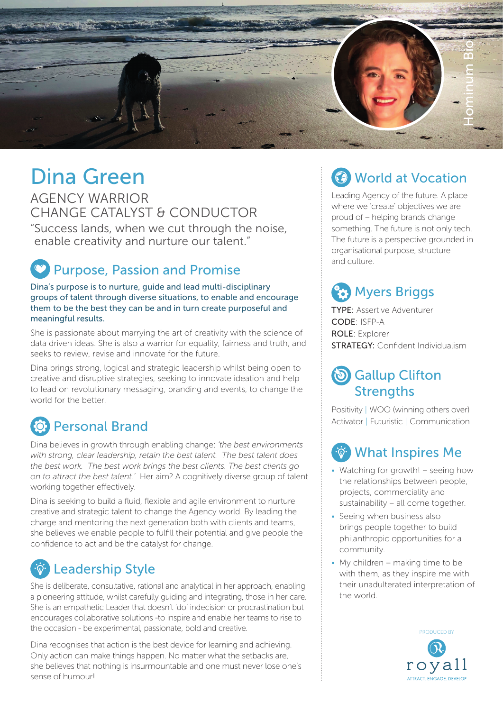

# Dina Green

AGENCY WARRIOR CHANGE CATALYST & CONDUCTOR

"Success lands, when we cut through the noise, enable creativity and nurture our talent."

## Purpose, Passion and Promise

Dina's purpose is to nurture, guide and lead multi-disciplinary groups of talent through diverse situations, to enable and encourage them to be the best they can be and in turn create purposeful and meaningful results.

She is passionate about marrying the art of creativity with the science of data driven ideas. She is also a warrior for equality, fairness and truth, and seeks to review, revise and innovate for the future.

Dina brings strong, logical and strategic leadership whilst being open to creative and disruptive strategies, seeking to innovate ideation and help to lead on revolutionary messaging, branding and events, to change the world for the better.

# Personal Brand

Dina believes in growth through enabling change; *'the best environments with strong, clear leadership, retain the best talent. The best talent does the best work. The best work brings the best clients. The best clients go on to attract the best talent.'* Her aim? A cognitively diverse group of talent working together effectively.

Dina is seeking to build a fluid, flexible and agile environment to nurture creative and strategic talent to change the Agency world. By leading the charge and mentoring the next generation both with clients and teams, she believes we enable people to fulfill their potential and give people the confidence to act and be the catalyst for change.

### Leadership Style

She is deliberate, consultative, rational and analytical in her approach, enabling a pioneering attitude, whilst carefully guiding and integrating, those in her care. She is an empathetic Leader that doesn't 'do' indecision or procrastination but encourages collaborative solutions -to inspire and enable her teams to rise to the occasion - be experimental, passionate, bold and creative.

Dina recognises that action is the best device for learning and achieving. Only action can make things happen. No matter what the setbacks are, she believes that nothing is insurmountable and one must never lose one's sense of humour!

# **3** World at Vocation

Leading Agency of the future. A place where we 'create' objectives we are proud of – helping brands change something. The future is not only tech. The future is a perspective grounded in organisational purpose, structure and culture.

# **(23)** Myers Briggs

TYPE: Assertive Adventurer CODE: ISFP-A ROLE: Explorer **STRATEGY: Confident Individualism** 

### Gallup Clifton **Strengths**

Positivity | WOO (winning others over) Activator | Futuristic | Communication

### What Inspires Me

- Watching for growth! seeing how the relationships between people, projects, commerciality and sustainability – all come together.
- Seeing when business also brings people together to build philanthropic opportunities for a community.
- My children making time to be with them, as they inspire me with their unadulterated interpretation of the world.